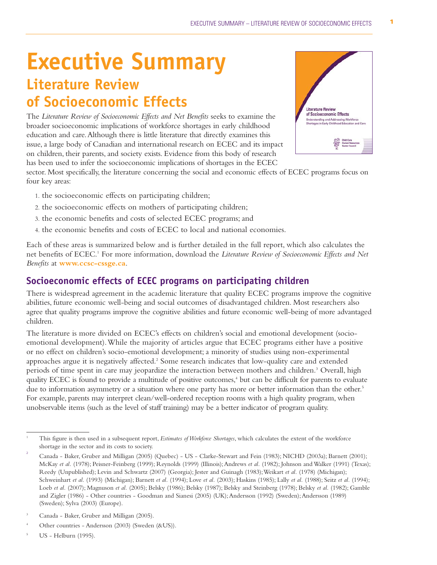# **Executive Summary Literature Review of Socioeconomic Effects**

The *Literature Review of Socioeconomic Effects and Net Benefits* seeks to examine the broader socioeconomic implications of workforce shortages in early childhood education and care.Although there is little literature that directly examines this issue, a large body of Canadian and international research on ECEC and its impact on children, their parents, and society exists. Evidence from this body of research has been used to infer the socioeconomic implications of shortages in the ECEC



sector. Most specifically, the literature concerning the social and economic effects of ECEC programs focus on four key areas:

- 1. the socioeconomic effects on participating children;
- 2. the socioeconomic effects on mothers of participating children;
- 3. the economic benefits and costs of selected ECEC programs; and
- 4. the economic benefits and costs of ECEC to local and national economies.

Each of these areas is summarized below and is further detailed in the full report, which also calculates the net benefits of ECEC.1 For more information, download the *Literature Review of Socioeconomic Effects and Net Benefits* at **www.ccsc-cssge.ca**.

### **Socioeconomic effects of ECEC programs on participating children**

There is widespread agreement in the academic literature that quality ECEC programs improve the cognitive abilities, future economic well-being and social outcomes of disadvantaged children. Most researchers also agree that quality programs improve the cognitive abilities and future economic well-being of more advantaged children.

The literature is more divided on ECEC's effects on children's social and emotional development (socioemotional development).While the majority of articles argue that ECEC programs either have a positive or no effect on children's socio-emotional development; a minority of studies using non-experimental approaches argue it is negatively affected.<sup>2</sup> Some research indicates that low-quality care and extended periods of time spent in care may jeopardize the interaction between mothers and children.3 Overall, high quality ECEC is found to provide a multitude of positive outcomes,<sup>4</sup> but can be difficult for parents to evaluate due to information asymmetry or a situation where one party has more or better information than the other.<sup>5</sup> For example, parents may interpret clean/well-ordered reception rooms with a high quality program, when unobservable items (such as the level of staff training) may be a better indicator of program quality.

<sup>1</sup> This figure is then used in a subsequent report, *Estimates of Workforce Shortages*, which calculates the extent of the workforce shortage in the sector and its costs to society.

<sup>2</sup> Canada - Baker, Gruber and Milligan (2005) (Quebec) - US - Clarke-Stewart and Fein (1983); NICHD (2003a); Barnett (2001); McKay et al. (1978); Peisner-Feinberg (1999); Reynolds (1999) (Illinois); Andrews et al. (1982); Johnson and Walker (1991) (Texas); Reedy (Unpublished); Levin and Schwartz (2007) (Georgia); Jester and Guinagh (1983);Weikart *et al.* (1978) (Michigan); Schweinhart *et al.* (1993) (Michigan); Barnett *et al.* (1994); Love *et al.* (2003); Haskins (1985); Lally *et al.* (1988); Seitz *et al.* (1994); Loeb *et al.* (2007); Magnuson *et al.* (2005); Belsky (1986); Belsky (1987); Belsky and Steinberg (1978); Belsky *et al.* (1982); Gamble and Zigler (1986) - Other countries - Goodman and Sianesi (2005) (UK); Andersson (1992) (Sweden); Andersson (1989) (Sweden); Sylva (2003) (Europe).

<sup>3</sup> Canada - Baker, Gruber and Milligan (2005).

Other countries - Andersson (2003) (Sweden (&US)).

<sup>5</sup> US - Helburn (1995).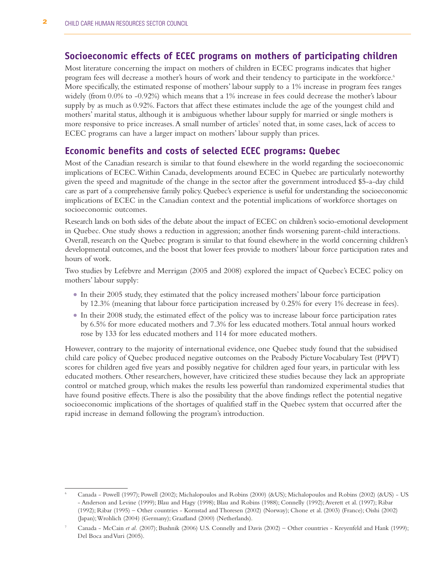## **Socioeconomic effects of ECEC programs on mothers of participating children**

Most literature concerning the impact on mothers of children in ECEC programs indicates that higher program fees will decrease a mother's hours of work and their tendency to participate in the workforce.<sup>6</sup> More specifically, the estimated response of mothers' labour supply to a 1% increase in program fees ranges widely (from 0.0% to -0.92%) which means that a 1% increase in fees could decrease the mother's labour supply by as much as 0.92%. Factors that affect these estimates include the age of the youngest child and mothers' marital status, although it is ambiguous whether labour supply for married or single mothers is more responsive to price increases. A small number of articles<sup>7</sup> noted that, in some cases, lack of access to ECEC programs can have a larger impact on mothers' labour supply than prices.

#### **Economic benefits and costs of selected ECEC programs: Quebec**

Most of the Canadian research is similar to that found elsewhere in the world regarding the socioeconomic implications of ECEC.Within Canada, developments around ECEC in Quebec are particularly noteworthy given the speed and magnitude of the change in the sector after the government introduced \$5-a-day child care as part of a comprehensive family policy. Quebec's experience is useful for understanding the socioeconomic implications of ECEC in the Canadian context and the potential implications of workforce shortages on socioeconomic outcomes.

Research lands on both sides of the debate about the impact of ECEC on children's socio-emotional development in Quebec. One study shows a reduction in aggression; another finds worsening parent-child interactions. Overall, research on the Quebec program is similar to that found elsewhere in the world concerning children's developmental outcomes, and the boost that lower fees provide to mothers' labour force participation rates and hours of work.

Two studies by Lefebvre and Merrigan (2005 and 2008) explored the impact of Quebec's ECEC policy on mothers' labour supply:

- <sup>O</sup> In their 2005 study, they estimated that the policy increased mothers' labour force participation by 12.3% (meaning that labour force participation increased by 0.25% for every 1% decrease in fees).
- <sup>O</sup> In their 2008 study, the estimated effect of the policy was to increase labour force participation rates by 6.5% for more educated mothers and 7.3% for less educated mothers.Total annual hours worked rose by 133 for less educated mothers and 114 for more educated mothers.

However, contrary to the majority of international evidence, one Quebec study found that the subsidised child care policy of Quebec produced negative outcomes on the Peabody Picture Vocabulary Test (PPVT) scores for children aged five years and possibly negative for children aged four years, in particular with less educated mothers. Other researchers, however, have criticized these studies because they lack an appropriate control or matched group, which makes the results less powerful than randomized experimental studies that have found positive effects.There is also the possibility that the above findings reflect the potential negative socioeconomic implications of the shortages of qualified staff in the Quebec system that occurred after the rapid increase in demand following the program's introduction.

<sup>6</sup> Canada - Powell (1997); Powell (2002); Michalopoulos and Robins (2000) (&US); Michalopoulos and Robins (2002) (&US) - US - Anderson and Levine (1999); Blau and Hagy (1998); Blau and Robins (1988); Connelly (1992); Averett et al. (1997); Ribar (1992); Ribar (1995) – Other countries - Kornstad and Thoresen (2002) (Norway); Chone et al. (2003) (France); Oishi (2002) (Japan);Wrohlich (2004) (Germany); Graafland (2000) (Netherlands).

Canada - McCain *et al.* (2007); Bushnik (2006) U.S. Connelly and Davis (2002) – Other countries - Kreyenfeld and Hank (1999); Del Boca and Vuri (2005).